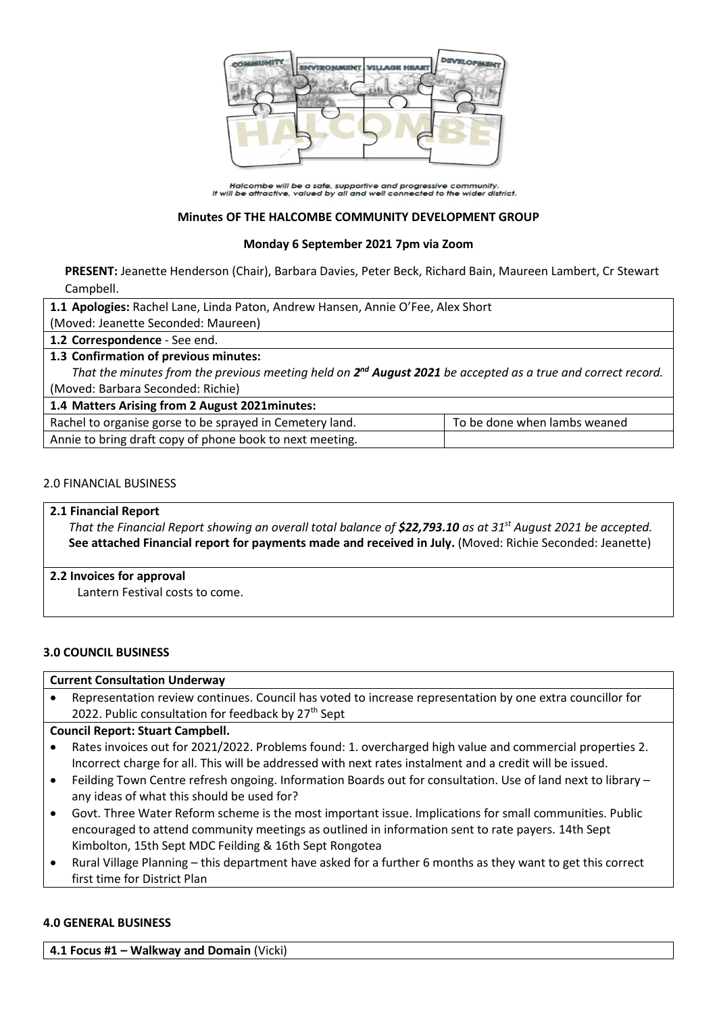

Halcombe will be a safe, supportive and progressive community.<br>It will be attractive, valued by all and well connected to the wider district.

## **Minutes OF THE HALCOMBE COMMUNITY DEVELOPMENT GROUP**

### **Monday 6 September 2021 7pm via Zoom**

**PRESENT:** Jeanette Henderson (Chair), Barbara Davies, Peter Beck, Richard Bain, Maureen Lambert, Cr Stewart Campbell.

**1.1 Apologies:** Rachel Lane, Linda Paton, Andrew Hansen, Annie O'Fee, Alex Short

(Moved: Jeanette Seconded: Maureen)

**1.2 Correspondence** - See end.

## **1.3 Confirmation of previous minutes:**

That the minutes from the previous meeting held on 2<sup>nd</sup> August 2021 be accepted as a true and correct record. (Moved: Barbara Seconded: Richie)

## **1.4 Matters Arising from 2 August 2021minutes:**

| Rachel to organise gorse to be sprayed in Cemetery land. | To be done when lambs weaned |
|----------------------------------------------------------|------------------------------|
| Annie to bring draft copy of phone book to next meeting. |                              |

### 2.0 FINANCIAL BUSINESS

### **2.1 Financial Report**

*That the Financial Report showing an overall total balance of \$22,793.10 as at 31st August 2021 be accepted.* **See attached Financial report for payments made and received in July.** (Moved: Richie Seconded: Jeanette)

**2.2 Invoices for approval**

Lantern Festival costs to come.

## **3.0 COUNCIL BUSINESS**

#### **Current Consultation Underway**

 Representation review continues. Council has voted to increase representation by one extra councillor for 2022. Public consultation for feedback by  $27<sup>th</sup>$  Sept

## **Council Report: Stuart Campbell.**

- Rates invoices out for 2021/2022. Problems found: 1. overcharged high value and commercial properties 2. Incorrect charge for all. This will be addressed with next rates instalment and a credit will be issued.
- Feilding Town Centre refresh ongoing. Information Boards out for consultation. Use of land next to library any ideas of what this should be used for?
- Govt. Three Water Reform scheme is the most important issue. Implications for small communities. Public encouraged to attend community meetings as outlined in information sent to rate payers. 14th Sept Kimbolton, 15th Sept MDC Feilding & 16th Sept Rongotea
- Rural Village Planning this department have asked for a further 6 months as they want to get this correct first time for District Plan

#### **4.0 GENERAL BUSINESS**

**4.1 Focus #1 – Walkway and Domain** (Vicki)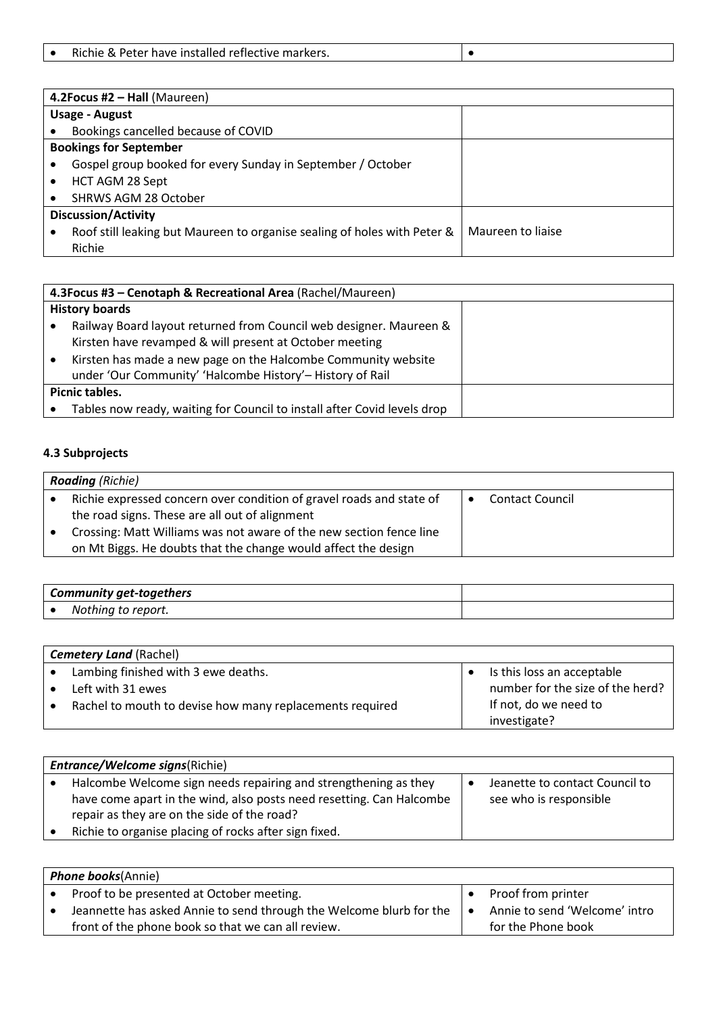| Richie & Peter have installed reflective markers. |
|---------------------------------------------------|
|---------------------------------------------------|

| 4.2 Focus #2 $-$ Hall (Maureen) |                                                                          |                   |  |  |
|---------------------------------|--------------------------------------------------------------------------|-------------------|--|--|
|                                 | <b>Usage - August</b>                                                    |                   |  |  |
|                                 | Bookings cancelled because of COVID                                      |                   |  |  |
|                                 | <b>Bookings for September</b>                                            |                   |  |  |
|                                 | Gospel group booked for every Sunday in September / October              |                   |  |  |
|                                 | HCT AGM 28 Sept                                                          |                   |  |  |
|                                 | SHRWS AGM 28 October                                                     |                   |  |  |
|                                 | <b>Discussion/Activity</b>                                               |                   |  |  |
|                                 | Roof still leaking but Maureen to organise sealing of holes with Peter & | Maureen to liaise |  |  |
|                                 | Richie                                                                   |                   |  |  |

| 4.3 Focus #3 - Cenotaph & Recreational Area (Rachel/Maureen)                                                                                                                                                                                                |  |  |
|-------------------------------------------------------------------------------------------------------------------------------------------------------------------------------------------------------------------------------------------------------------|--|--|
| <b>History boards</b>                                                                                                                                                                                                                                       |  |  |
| Railway Board layout returned from Council web designer. Maureen &<br>Kirsten have revamped & will present at October meeting<br>Kirsten has made a new page on the Halcombe Community website<br>under 'Our Community' 'Halcombe History'- History of Rail |  |  |
| Picnic tables.<br>Tables now ready, waiting for Council to install after Covid levels drop                                                                                                                                                                  |  |  |

## **4.3 Subprojects**

| <b>Roading</b> (Richie) |                                                                      |  |                        |  |  |
|-------------------------|----------------------------------------------------------------------|--|------------------------|--|--|
|                         | Richie expressed concern over condition of gravel roads and state of |  | <b>Contact Council</b> |  |  |
|                         | the road signs. These are all out of alignment                       |  |                        |  |  |
|                         | Crossing: Matt Williams was not aware of the new section fence line  |  |                        |  |  |
|                         | on Mt Biggs. He doubts that the change would affect the design       |  |                        |  |  |

| Community get-togethers |                         |  |
|-------------------------|-------------------------|--|
|                         | Nothing<br>report.<br>w |  |

| <b>Cemetery Land (Rachel)</b> |                                                          |  |                                  |  |
|-------------------------------|----------------------------------------------------------|--|----------------------------------|--|
|                               | Lambing finished with 3 ewe deaths.                      |  | Is this loss an acceptable       |  |
|                               | Left with 31 ewes                                        |  | number for the size of the herd? |  |
|                               | Rachel to mouth to devise how many replacements required |  | If not, do we need to            |  |
|                               |                                                          |  | investigate?                     |  |

| <b>Entrance/Welcome signs(Richie)</b>                                                                                                                                                                                                           |  |                                                          |  |  |
|-------------------------------------------------------------------------------------------------------------------------------------------------------------------------------------------------------------------------------------------------|--|----------------------------------------------------------|--|--|
| Halcombe Welcome sign needs repairing and strengthening as they<br>have come apart in the wind, also posts need resetting. Can Halcombe<br>repair as they are on the side of the road?<br>Richie to organise placing of rocks after sign fixed. |  | Jeanette to contact Council to<br>see who is responsible |  |  |

| <b>Phone books</b> (Annie) |                                                                     |  |                               |  |
|----------------------------|---------------------------------------------------------------------|--|-------------------------------|--|
|                            | Proof to be presented at October meeting.                           |  | Proof from printer            |  |
|                            | Jeannette has asked Annie to send through the Welcome blurb for the |  | Annie to send 'Welcome' intro |  |
|                            | front of the phone book so that we can all review.                  |  | for the Phone book            |  |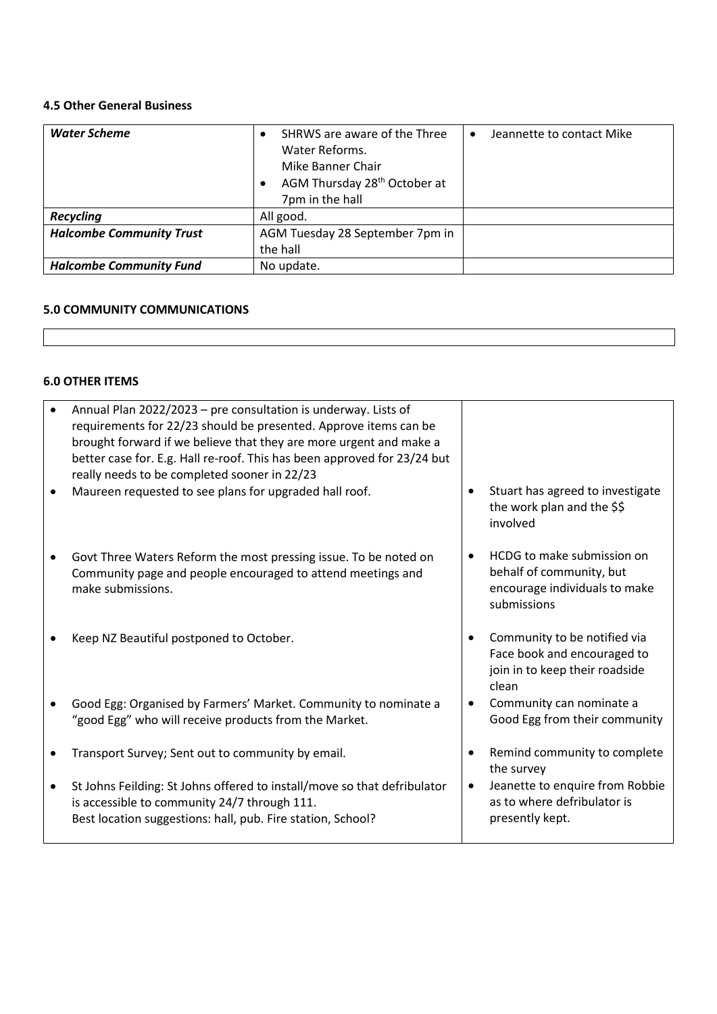# **4.5 Other General Business**

| <b>Water Scheme</b>             | SHRWS are aware of the Three<br>Water Reforms.<br>Mike Banner Chair<br>AGM Thursday 28 <sup>th</sup> October at<br>7pm in the hall | Jeannette to contact Mike<br>$\bullet$ |
|---------------------------------|------------------------------------------------------------------------------------------------------------------------------------|----------------------------------------|
| <b>Recycling</b>                | All good.                                                                                                                          |                                        |
| <b>Halcombe Community Trust</b> | AGM Tuesday 28 September 7pm in                                                                                                    |                                        |
|                                 | the hall                                                                                                                           |                                        |
| <b>Halcombe Community Fund</b>  | No update.                                                                                                                         |                                        |

# **5.0 COMMUNITY COMMUNICATIONS**

# **6.0 OTHER ITEMS**

|           | Annual Plan 2022/2023 - pre consultation is underway. Lists of<br>requirements for 22/23 should be presented. Approve items can be<br>brought forward if we believe that they are more urgent and make a<br>better case for. E.g. Hall re-roof. This has been approved for 23/24 but<br>really needs to be completed sooner in 22/23 |                                                                                                        |
|-----------|--------------------------------------------------------------------------------------------------------------------------------------------------------------------------------------------------------------------------------------------------------------------------------------------------------------------------------------|--------------------------------------------------------------------------------------------------------|
|           | Maureen requested to see plans for upgraded hall roof.                                                                                                                                                                                                                                                                               | Stuart has agreed to investigate<br>the work plan and the \$\$<br>involved                             |
| $\bullet$ | Govt Three Waters Reform the most pressing issue. To be noted on<br>Community page and people encouraged to attend meetings and<br>make submissions.                                                                                                                                                                                 | HCDG to make submission on<br>behalf of community, but<br>encourage individuals to make<br>submissions |
|           | Keep NZ Beautiful postponed to October.                                                                                                                                                                                                                                                                                              | Community to be notified via<br>Face book and encouraged to<br>join in to keep their roadside<br>clean |
|           | Good Egg: Organised by Farmers' Market. Community to nominate a<br>"good Egg" who will receive products from the Market.                                                                                                                                                                                                             | Community can nominate a<br>Good Egg from their community                                              |
|           | Transport Survey; Sent out to community by email.                                                                                                                                                                                                                                                                                    | Remind community to complete<br>the survey                                                             |
| $\bullet$ | St Johns Feilding: St Johns offered to install/move so that defribulator<br>is accessible to community 24/7 through 111.<br>Best location suggestions: hall, pub. Fire station, School?                                                                                                                                              | Jeanette to enquire from Robbie<br>as to where defribulator is<br>presently kept.                      |